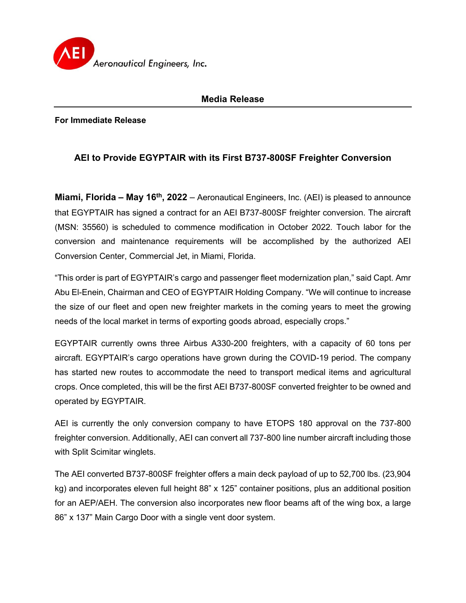

## **Media Release**

**For Immediate Release**

## **AEI to Provide EGYPTAIR with its First B737-800SF Freighter Conversion**

**Miami, Florida – May 16th, 2022** – Aeronautical Engineers, Inc. (AEI) is pleased to announce that EGYPTAIR has signed a contract for an AEI B737-800SF freighter conversion. The aircraft (MSN: 35560) is scheduled to commence modification in October 2022. Touch labor for the conversion and maintenance requirements will be accomplished by the authorized AEI Conversion Center, Commercial Jet, in Miami, Florida.

"This order is part of EGYPTAIR's cargo and passenger fleet modernization plan," said Capt. Amr Abu El-Enein, Chairman and CEO of EGYPTAIR Holding Company. "We will continue to increase the size of our fleet and open new freighter markets in the coming years to meet the growing needs of the local market in terms of exporting goods abroad, especially crops."

EGYPTAIR currently owns three Airbus A330-200 freighters, with a capacity of 60 tons per aircraft. EGYPTAIR's cargo operations have grown during the COVID-19 period. The company has started new routes to accommodate the need to transport medical items and agricultural crops. Once completed, this will be the first AEI B737-800SF converted freighter to be owned and operated by EGYPTAIR.

AEI is currently the only conversion company to have ETOPS 180 approval on the 737-800 freighter conversion. Additionally, AEI can convert all 737-800 line number aircraft including those with Split Scimitar winglets.

The AEI converted B737-800SF freighter offers a main deck payload of up to 52,700 lbs. (23,904 kg) and incorporates eleven full height 88" x 125" container positions, plus an additional position for an AEP/AEH. The conversion also incorporates new floor beams aft of the wing box, a large 86" x 137" Main Cargo Door with a single vent door system.